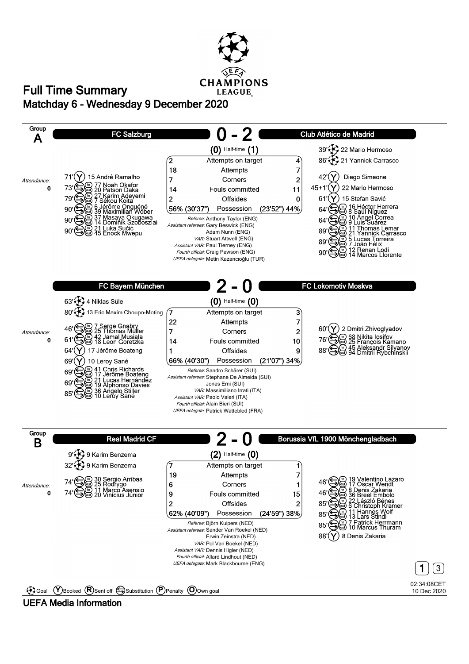

## **Matchday 6 - Wednesday 9 December 2020 Full Time Summary**

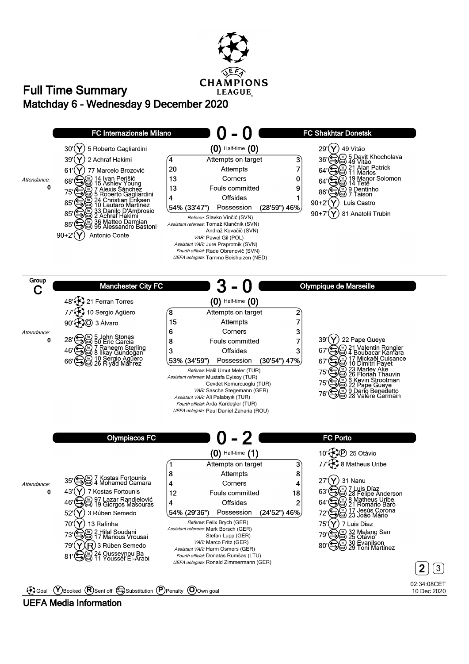

## **Matchday 6 - Wednesday 9 December 2020 Full Time Summary**



**UEFA Media Information**